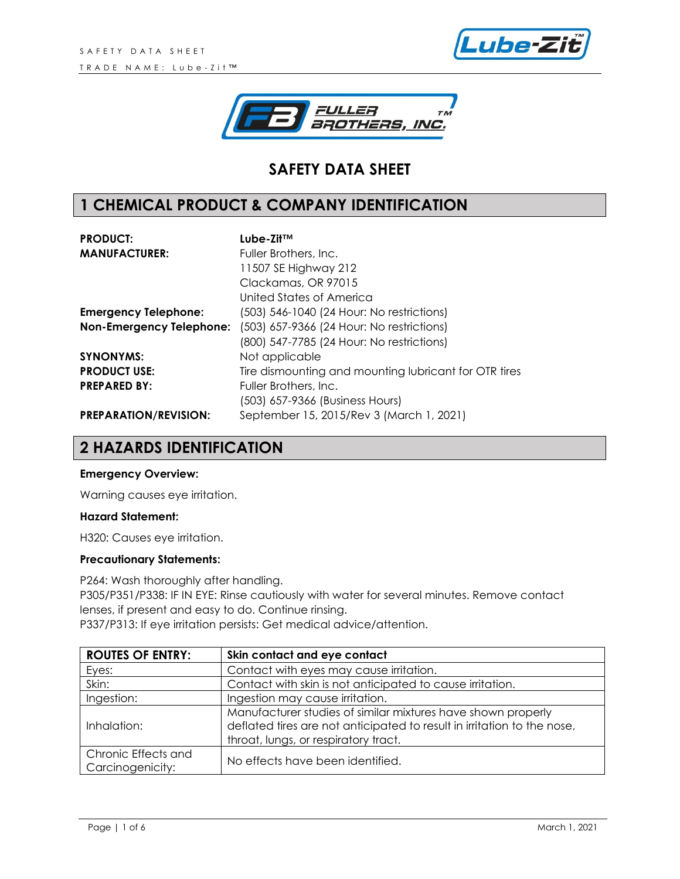



# **SAFETY DATA SHEET**

## **1 CHEMICAL PRODUCT & COMPANY IDENTIFICATION**

| <b>PRODUCT:</b>                 | Lube-Zit™                                             |
|---------------------------------|-------------------------------------------------------|
| <b>MANUFACTURER:</b>            | Fuller Brothers, Inc.                                 |
|                                 | 11507 SE Highway 212                                  |
|                                 | Clackamas, OR 97015                                   |
|                                 | United States of America                              |
| <b>Emergency Telephone:</b>     | (503) 546-1040 (24 Hour: No restrictions)             |
| <b>Non-Emergency Telephone:</b> | (503) 657-9366 (24 Hour: No restrictions)             |
|                                 | (800) 547-7785 (24 Hour: No restrictions)             |
| <b>SYNONYMS:</b>                | Not applicable                                        |
| <b>PRODUCT USE:</b>             | Tire dismounting and mounting lubricant for OTR tires |
| <b>PREPARED BY:</b>             | Fuller Brothers, Inc.                                 |
|                                 | (503) 657-9366 (Business Hours)                       |
| <b>PREPARATION/REVISION:</b>    | September 15, 2015/Rev 3 (March 1, 2021)              |

### **2 HAZARDS IDENTIFICATION**

#### **Emergency Overview:**

Warning causes eye irritation.

#### **Hazard Statement:**

H320: Causes eye irritation.

#### **Precautionary Statements:**

P264: Wash thoroughly after handling. P305/P351/P338: IF IN EYE: Rinse cautiously with water for several minutes. Remove contact lenses, if present and easy to do. Continue rinsing. P337/P313: If eye irritation persists: Get medical advice/attention.

| <b>ROUTES OF ENTRY:</b>                 | Skin contact and eye contact                                                                                                                                                    |
|-----------------------------------------|---------------------------------------------------------------------------------------------------------------------------------------------------------------------------------|
| Eyes:                                   | Contact with eyes may cause irritation.                                                                                                                                         |
| Skin:                                   | Contact with skin is not anticipated to cause irritation.                                                                                                                       |
| Ingestion:                              | Ingestion may cause irritation.                                                                                                                                                 |
| Inhalation:                             | Manufacturer studies of similar mixtures have shown properly<br>deflated tires are not anticipated to result in irritation to the nose,<br>throat, lungs, or respiratory tract. |
| Chronic Effects and<br>Carcinogenicity: | No effects have been identified.                                                                                                                                                |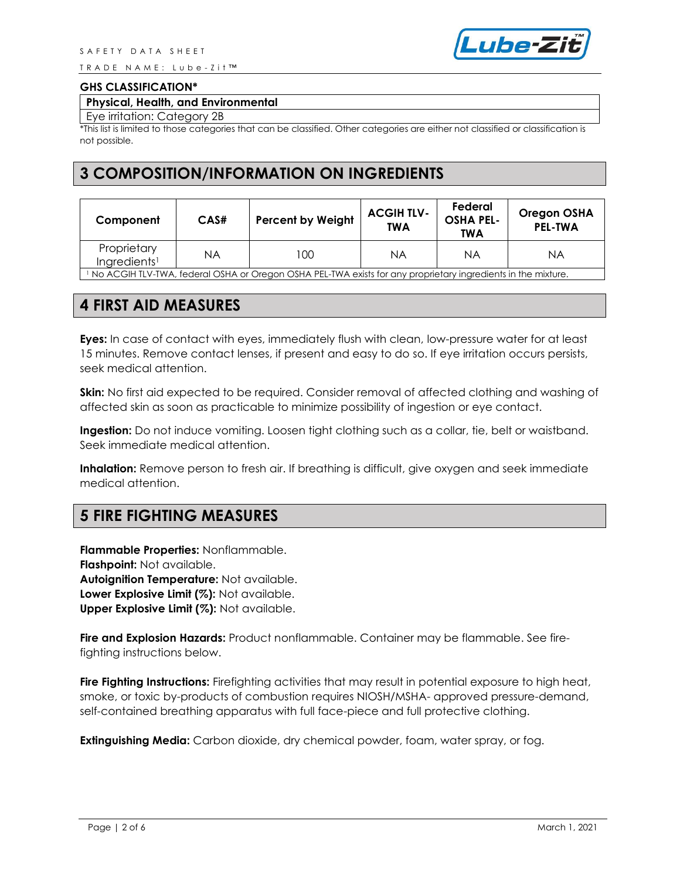T R A D E N A M E : L u b e - Z i t ™



#### **GHS CLASSIFICATION\***

#### **Physical, Health, and Environmental**

Eye irritation: Category 2B

\*This list is limited to those categories that can be classified. Other categories are either not classified or classification is not possible.

### **3 COMPOSITION/INFORMATION ON INGREDIENTS**

| Component                                                                                                    | CAS# | <b>Percent by Weight</b> | <b>ACGIH TLV-</b><br><b>TWA</b> | Federal<br><b>OSHA PEL-</b><br>TWA | <b>Oregon OSHA</b><br><b>PEL-TWA</b> |
|--------------------------------------------------------------------------------------------------------------|------|--------------------------|---------------------------------|------------------------------------|--------------------------------------|
| Proprietary<br>Ingredients <sup>1</sup>                                                                      | ΝA   | 100                      | ΝA                              | ΝA                                 | ΝA                                   |
| No ACGIH TLV-TWA, federal OSHA or Oregon OSHA PEL-TWA exists for any proprietary ingredients in the mixture. |      |                          |                                 |                                    |                                      |

### **4 FIRST AID MEASURES**

**Eyes:** In case of contact with eyes, immediately flush with clean, low-pressure water for at least 15 minutes. Remove contact lenses, if present and easy to do so. If eye irritation occurs persists, seek medical attention.

**Skin:** No first aid expected to be required. Consider removal of affected clothing and washing of affected skin as soon as practicable to minimize possibility of ingestion or eye contact.

**Ingestion:** Do not induce vomiting. Loosen tight clothing such as a collar, tie, belt or waistband. Seek immediate medical attention.

**Inhalation:** Remove person to fresh air. If breathing is difficult, give oxygen and seek immediate medical attention.

### **5 FIRE FIGHTING MEASURES**

**Flammable Properties:** Nonflammable. **Flashpoint:** Not available. **Autoignition Temperature:** Not available. **Lower Explosive Limit (%):** Not available. **Upper Explosive Limit (%):** Not available.

**Fire and Explosion Hazards:** Product nonflammable. Container may be flammable. See firefighting instructions below.

**Fire Fighting Instructions:** Firefighting activities that may result in potential exposure to high heat, smoke, or toxic by-products of combustion requires NIOSH/MSHA- approved pressure-demand, self-contained breathing apparatus with full face-piece and full protective clothing.

**Extinguishing Media:** Carbon dioxide, dry chemical powder, foam, water spray, or fog.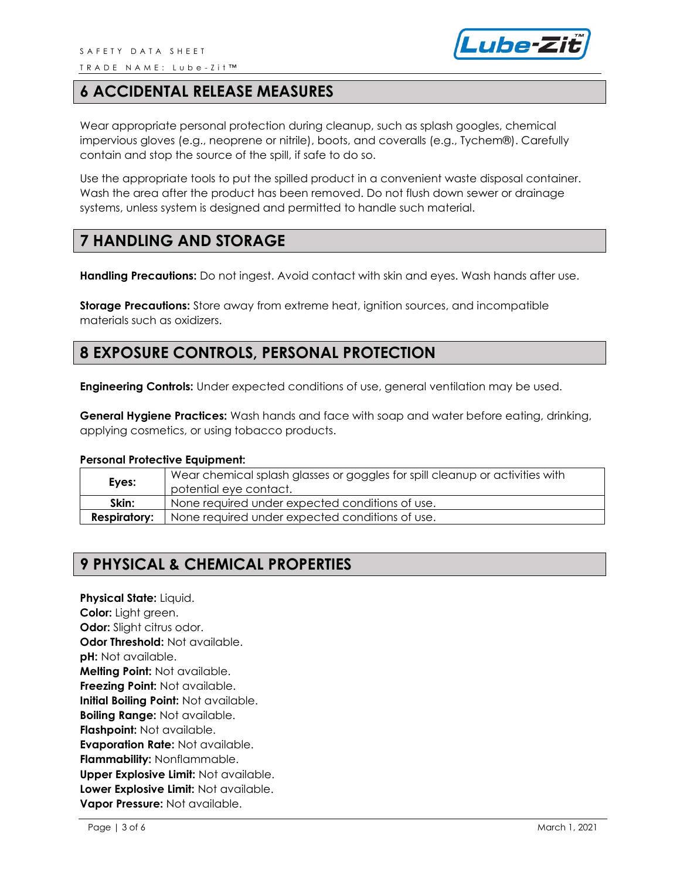

### **6 ACCIDENTAL RELEASE MEASURES**

Wear appropriate personal protection during cleanup, such as splash googles, chemical impervious gloves (e.g., neoprene or nitrile), boots, and coveralls (e.g., Tychem®). Carefully contain and stop the source of the spill, if safe to do so.

Use the appropriate tools to put the spilled product in a convenient waste disposal container. Wash the area after the product has been removed. Do not flush down sewer or drainage systems, unless system is designed and permitted to handle such material.

### **7 HANDLING AND STORAGE**

**Handling Precautions:** Do not ingest. Avoid contact with skin and eyes. Wash hands after use.

**Storage Precautions:** Store away from extreme heat, ignition sources, and incompatible materials such as oxidizers.

## **8 EXPOSURE CONTROLS, PERSONAL PROTECTION**

**Engineering Controls:** Under expected conditions of use, general ventilation may be used.

**General Hygiene Practices:** Wash hands and face with soap and water before eating, drinking, applying cosmetics, or using tobacco products.

#### **Personal Protective Equipment:**

| Eyes:               | Wear chemical splash glasses or goggles for spill cleanup or activities with<br>potential eye contact. |
|---------------------|--------------------------------------------------------------------------------------------------------|
| Skin:               | None required under expected conditions of use.                                                        |
| <b>Respiratory:</b> | None required under expected conditions of use.                                                        |

# **9 PHYSICAL & CHEMICAL PROPERTIES**

**Physical State:** Liquid. **Color:** Light green. **Odor:** Slight citrus odor. **Odor Threshold:** Not available. **pH:** Not available. **Melting Point:** Not available. **Freezing Point:** Not available. **Initial Boiling Point:** Not available. **Boiling Range:** Not available. **Flashpoint:** Not available. **Evaporation Rate:** Not available. **Flammability:** Nonflammable. **Upper Explosive Limit:** Not available. **Lower Explosive Limit:** Not available. **Vapor Pressure:** Not available.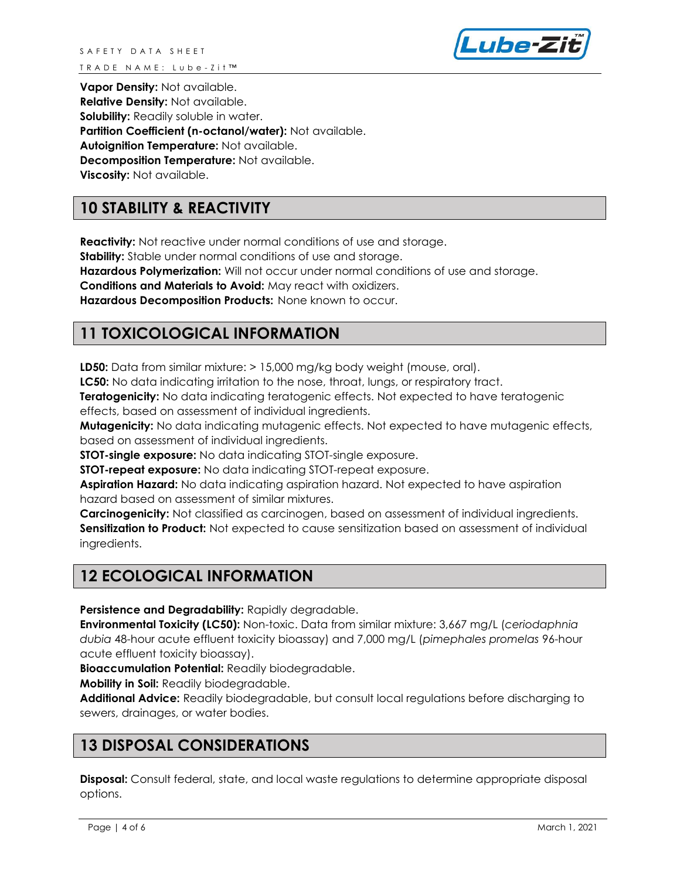

**Vapor Density:** Not available. **Relative Density:** Not available. **Solubility:** Readily soluble in water. **Partition Coefficient (n-octanol/water):** Not available. **Autoignition Temperature:** Not available. **Decomposition Temperature:** Not available. **Viscosity:** Not available.

# **10 STABILITY & REACTIVITY**

**Reactivity:** Not reactive under normal conditions of use and storage.

**Stability:** Stable under normal conditions of use and storage.

**Hazardous Polymerization:** Will not occur under normal conditions of use and storage.

**Conditions and Materials to Avoid:** May react with oxidizers.

**Hazardous Decomposition Products:** None known to occur.

## **11 TOXICOLOGICAL INFORMATION**

**LD50:** Data from similar mixture: > 15,000 mg/kg body weight (mouse, oral).

**LC50:** No data indicating irritation to the nose, throat, lungs, or respiratory tract.

**Teratogenicity:** No data indicating teratogenic effects. Not expected to have teratogenic effects, based on assessment of individual ingredients.

**Mutagenicity:** No data indicating mutagenic effects. Not expected to have mutagenic effects, based on assessment of individual ingredients.

**STOT-single exposure:** No data indicating STOT-single exposure.

**STOT-repeat exposure:** No data indicating STOT-repeat exposure.

**Aspiration Hazard:** No data indicating aspiration hazard. Not expected to have aspiration hazard based on assessment of similar mixtures.

**Carcinogenicity:** Not classified as carcinogen, based on assessment of individual ingredients. **Sensitization to Product:** Not expected to cause sensitization based on assessment of individual ingredients.

# **12 ECOLOGICAL INFORMATION**

**Persistence and Degradability:** Rapidly degradable.

**Environmental Toxicity (LC50):** Non-toxic. Data from similar mixture: 3,667 mg/L (*ceriodaphnia dubia* 48-hour acute effluent toxicity bioassay) and 7,000 mg/L (*pimephales promelas* 96-hour acute effluent toxicity bioassay).

**Bioaccumulation Potential:** Readily biodegradable.

**Mobility in Soil:** Readily biodegradable.

**Additional Advice:** Readily biodegradable, but consult local regulations before discharging to sewers, drainages, or water bodies.

# **13 DISPOSAL CONSIDERATIONS**

**Disposal:** Consult federal, state, and local waste regulations to determine appropriate disposal options.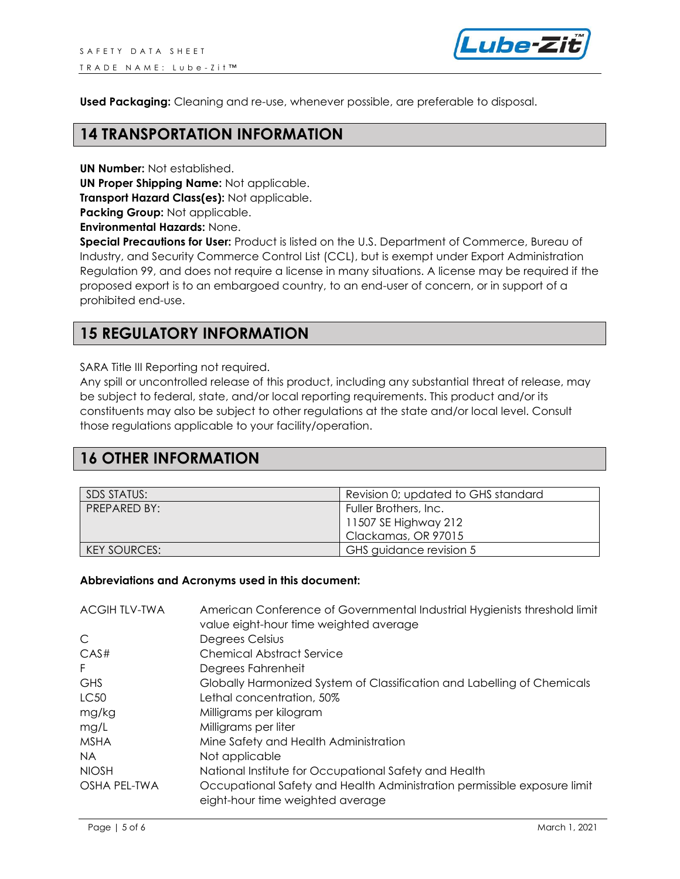

**Used Packaging:** Cleaning and re-use, whenever possible, are preferable to disposal.

#### **14 TRANSPORTATION INFORMATION**

**UN Number:** Not established.

**UN Proper Shipping Name:** Not applicable.

**Transport Hazard Class(es):** Not applicable.

**Packing Group: Not applicable.** 

**Environmental Hazards:** None.

**Special Precautions for User:** Product is listed on the U.S. Department of Commerce, Bureau of Industry, and Security Commerce Control List (CCL), but is exempt under Export Administration Regulation 99, and does not require a license in many situations. A license may be required if the proposed export is to an embargoed country, to an end-user of concern, or in support of a prohibited end-use.

### **15 REGULATORY INFORMATION**

SARA Title III Reporting not required.

Any spill or uncontrolled release of this product, including any substantial threat of release, may be subject to federal, state, and/or local reporting requirements. This product and/or its constituents may also be subject to other regulations at the state and/or local level. Consult those regulations applicable to your facility/operation.

# **16 OTHER INFORMATION**

| SDS STATUS:  | Revision 0; updated to GHS standard |
|--------------|-------------------------------------|
| PREPARED BY: | Fuller Brothers, Inc.               |
|              | 11507 SE Highway 212                |
|              | Clackamas, OR 97015                 |
| KEY SOURCES: | GHS guidance revision 5             |

#### **Abbreviations and Acronyms used in this document:**

| <b>ACGIHTLV-TWA</b> | American Conference of Governmental Industrial Hygienists threshold limit<br>value eight-hour time weighted average |
|---------------------|---------------------------------------------------------------------------------------------------------------------|
| C                   | Degrees Celsius                                                                                                     |
| CAS#                | <b>Chemical Abstract Service</b>                                                                                    |
| F.                  | Degrees Fahrenheit                                                                                                  |
| <b>GHS</b>          | Globally Harmonized System of Classification and Labelling of Chemicals                                             |
| LC <sub>50</sub>    | Lethal concentration, 50%                                                                                           |
| mg/kg               | Milligrams per kilogram                                                                                             |
| mg/L                | Milligrams per liter                                                                                                |
| <b>MSHA</b>         | Mine Safety and Health Administration                                                                               |
| NA.                 | Not applicable                                                                                                      |
| <b>NIOSH</b>        | National Institute for Occupational Safety and Health                                                               |
| OSHA PEL-TWA        | Occupational Safety and Health Administration permissible exposure limit<br>eight-hour time weighted average        |